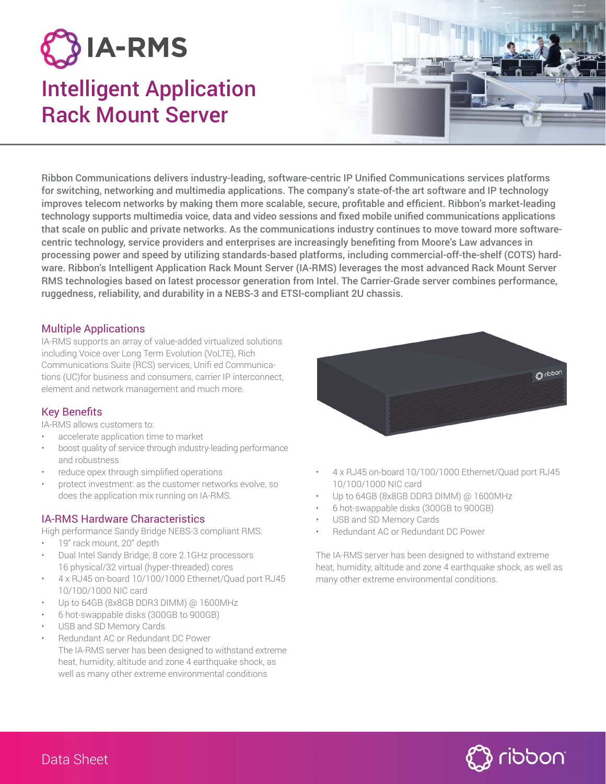

# Intelligent Application Rack Mount Server



Ribbon Communications delivers industry-leading, software-centric IP Unified Communications services platforms for switching, networking and multimedia applications. The company's state-of-the art software and IP technology improves telecom networks by making them more scalable, secure, profitable and efficient. Ribbon's market-leading technology supports multimedia voice, data and video sessions and fixed mobile unified communications applications that scale on public and private networks. As the communications industry continues to move toward more softwarecentric technology, service providers and enterprises are increasingly benefiting from Moore's Law advances in processing power and speed by utilizing standards-based platforms, including commercial-off-the-shelf (COTS) hardware. Ribbon's Intelligent Application Rack Mount Server (IA-RMS) leverages the most advanced Rack Mount Server RMS technologies based on latest processor generation from Intel. The Carrier-Grade server combines performance, ruggedness, reliability, and durability in a NEBS-3 and ETSI-compliant 2U chassis.

## Multiple Applications

IA-RMS supports an array of value-added virtualized solutions including Voice over Long Term Evolution (VoLTE), Rich Communications Suite (RCS) services, Unifi ed Communications (UC)for business and consumers, carrier IP interconnect, element and network management and much more.

## Key Benefits

IA-RMS allows customers to:

- accelerate application time to market
- boost quality of service through industry-leading performance and robustness
- reduce opex through simplified operations
- protect investment: as the customer networks evolve, so does the application mix running on IA-RMS.

## IA-RMS Hardware Characteristics

High performance Sandy Bridge NEBS-3 compliant RMS:

- 19" rack mount, 20" depth
- Dual Intel Sandy Bridge, 8 core 2.1GHz processors 16 physical/32 virtual (hyper-threaded) cores
- 4 x RJ45 on-board 10/100/1000 Ethernet/Quad port RJ45 10/100/1000 NIC card
- Up to 64GB (8x8GB DDR3 DIMM) @ 1600MHz
- 6 hot-swappable disks (300GB to 900GB)
- USB and SD Memory Cards
- Redundant AC or Redundant DC Power The IA-RMS server has been designed to withstand extreme heat, humidity, altitude and zone 4 earthquake shock, as well as many other extreme environmental conditions



- 4 x RJ45 on-board 10/100/1000 Ethernet/Quad port RJ45 10/100/1000 NIC card
- Up to 64GB (8x8GB DDR3 DIMM) @ 1600MHz
- 6 hot-swappable disks (300GB to 900GB)
- USB and SD Memory Cards
- Redundant AC or Redundant DC Power

The IA-RMS server has been designed to withstand extreme heat, humidity, altitude and zone 4 earthquake shock, as well as many other extreme environmental conditions.